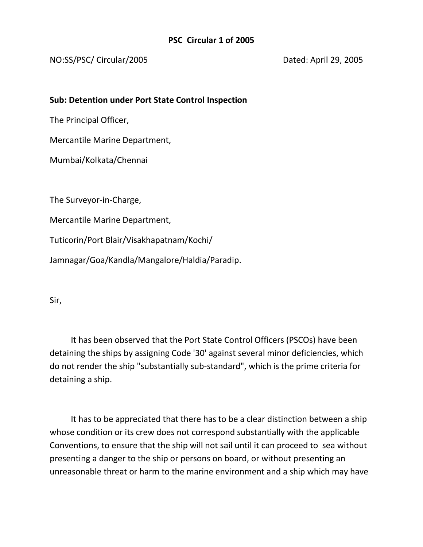## NO:SS/PSC/ Circular/2005 Dated: April 29, 2005

## **Sub: Detention under Port State Control Inspection**

The Principal Officer,

Mercantile Marine Department,

Mumbai/Kolkata/Chennai

The Surveyor-in-Charge,

Mercantile Marine Department,

Tuticorin/Port Blair/Visakhapatnam/Kochi/

Jamnagar/Goa/Kandla/Mangalore/Haldia/Paradip.

Sir,

 It has been observed that the Port State Control Officers (PSCOs) have been detaining the ships by assigning Code '30' against several minor deficiencies, which do not render the ship "substantially sub-standard", which is the prime criteria for detaining a ship.

 It has to be appreciated that there has to be a clear distinction between a ship whose condition or its crew does not correspond substantially with the applicable Conventions, to ensure that the ship will not sail until it can proceed to sea without presenting a danger to the ship or persons on board, or without presenting an unreasonable threat or harm to the marine environment and a ship which may have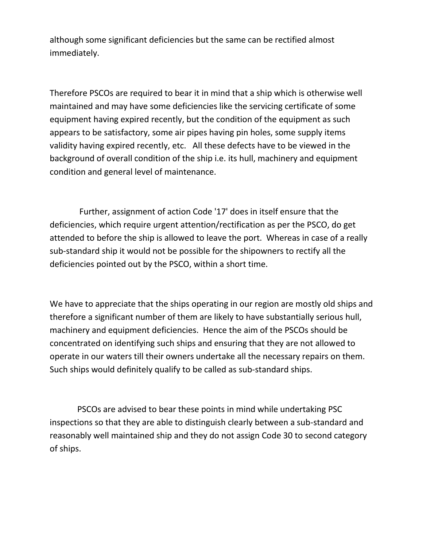although some significant deficiencies but the same can be rectified almost immediately.

Therefore PSCOs are required to bear it in mind that a ship which is otherwise well maintained and may have some deficiencies like the servicing certificate of some equipment having expired recently, but the condition of the equipment as such appears to be satisfactory, some air pipes having pin holes, some supply items validity having expired recently, etc. All these defects have to be viewed in the background of overall condition of the ship i.e. its hull, machinery and equipment condition and general level of maintenance.

 Further, assignment of action Code '17' does in itself ensure that the deficiencies, which require urgent attention/rectification as per the PSCO, do get attended to before the ship is allowed to leave the port. Whereas in case of a really sub-standard ship it would not be possible for the shipowners to rectify all the deficiencies pointed out by the PSCO, within a short time.

We have to appreciate that the ships operating in our region are mostly old ships and therefore a significant number of them are likely to have substantially serious hull, machinery and equipment deficiencies. Hence the aim of the PSCOs should be concentrated on identifying such ships and ensuring that they are not allowed to operate in our waters till their owners undertake all the necessary repairs on them. Such ships would definitely qualify to be called as sub-standard ships.

 PSCOs are advised to bear these points in mind while undertaking PSC inspections so that they are able to distinguish clearly between a sub-standard and reasonably well maintained ship and they do not assign Code 30 to second category of ships.